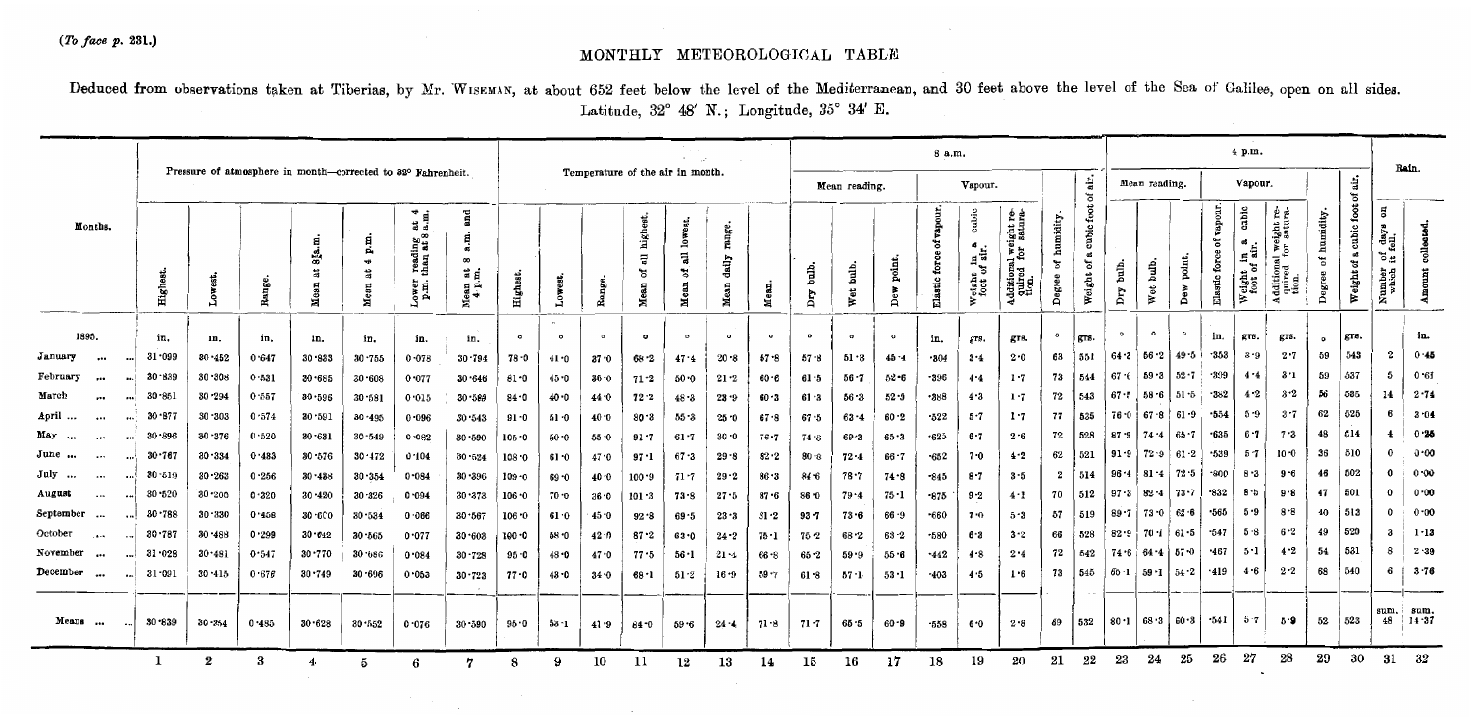## $(To \,\text{face } p. 231.)$

## MONTHLY METEOROLOGICAL TABLE

Deduced from observations taken at Tiberias, by Mr. WISEMAN, at about 652 feet below the level of the Mediterranean, and 30 feet above the level of the Sea of Galilee, open on all sides. Latitude, 32° 48' N.; Longitude, 35° 34' E.

|                                            |            |            |        |                                                              |                            |                                                            |                                                      | Temperature of the air in month. |                   |          |                                         |                                                          |                           |           | 8 a.m.        |              |               |                     |                                  |                                                                      |                          |                                            |              |                                        |                        | <b>Bain.</b>                    |                                      |                                                                       |                                         |                                  |                                                                                           |                   |
|--------------------------------------------|------------|------------|--------|--------------------------------------------------------------|----------------------------|------------------------------------------------------------|------------------------------------------------------|----------------------------------|-------------------|----------|-----------------------------------------|----------------------------------------------------------|---------------------------|-----------|---------------|--------------|---------------|---------------------|----------------------------------|----------------------------------------------------------------------|--------------------------|--------------------------------------------|--------------|----------------------------------------|------------------------|---------------------------------|--------------------------------------|-----------------------------------------------------------------------|-----------------------------------------|----------------------------------|-------------------------------------------------------------------------------------------|-------------------|
|                                            |            |            |        | Pressure of atmosphere in month-corrected to 32° Fahrenheit. |                            |                                                            |                                                      |                                  |                   |          |                                         |                                                          |                           |           | Mean reading. |              |               |                     | ÷.<br>Vapour.<br>៵               |                                                                      |                          |                                            |              | Mean reading.                          |                        |                                 | Vapour.                              |                                                                       |                                         | d.<br>ិ៍                         |                                                                                           |                   |
| Months.                                    | Highes     |            | Range. | а<br>38.<br>ä<br>Mea                                         | 目<br>Ä,<br>₩<br>at<br>Mean | at $\frac{4}{a}$ .<br>reading<br>than at 8<br>ower<br>p.m. | and<br>ಷ<br>$\infty$<br>ង ៩<br>g ¤́<br>$\frac{4}{3}$ | Highes                           |                   | Range.   | highe<br>$\overline{a}$<br>৳<br>я<br>Яă | lowest.<br>$\overline{\mathbf{a}}$<br>៵<br><b>a</b><br>É | range.<br>daily<br>딣<br>ã | ×         | Ĵ<br>Σņ       | bulb.<br>Wet | point,<br>Dew | ៵<br>tor<br>Elastic | cubic<br>45<br>reight in a<br>ż. | ight re-<br>satura-<br>Additional weight<br>quired for $\frac{1}{k}$ | humidity.<br>ď<br>Degree | $_{\rm tot}$<br>cubic:<br>ಹ<br>ಕ<br>Weight | bulb.<br>Dry | bulb.<br>Wet                           | point,<br>$_{\rm Dev}$ | bur.<br>៵<br>force<br>yde.<br>뤜 | cubic<br>Weight in .<br>foot of air. | ight re-<br>satura<br>. dditions<br>quired<br>tion.<br>$\overline{a}$ | humidity.<br>$\mathfrak{b}^0$<br>Degree | foot<br>cubic<br>að<br>Weight of | $\overline{\mathbf{a}}$<br>$\frac{\text{day}}{\text{full}}$<br>ីដ<br>umber<br>which<br>ž. |                   |
| 1895.                                      | in.        | in.        | in,    | in.                                                          | in.                        | in.                                                        | in.                                                  | $\sigma$                         | $\sim$<br>$\circ$ | $\circ$  | $\bullet$                               | $\circ$                                                  | $\circ$                   | $\bullet$ | $\mathbf{o}$  | $\circ$      | $\circ$       | in.                 | grs.                             | grs.                                                                 | $\circ$                  | grs.                                       | $\circ$      | $\bullet$                              | $\circ$                | in,                             | grs.                                 | grs.                                                                  | $\mathbf{a}$                            | grs.                             |                                                                                           | in.               |
| January<br>$\cdots$                        | 31.099     | 30 - 452   | 0.647  | $30 - 833$                                                   | $30 - 755$                 | 0.078                                                      | $30 - 794$                                           | $78 - 0$                         | 41.0              | $37 - 0$ | 68.2                                    | 47.4                                                     | 20.8                      | $57 - 8$  | 57 - 8        | 51.3         | 45 - 4        | $-304$              | $3 - 4$                          | 2.0                                                                  | 63                       | 551                                        | 64 - 3       | 56 2                                   | 49 5                   | $-353$                          | $3 - 9$                              | 2.7                                                                   | 59                                      | 543                              | $\mathbf{2}$                                                                              | $0 - 45$          |
| February                                   | $30 - 839$ | 30.308     | 0.531  | $30 - 685$                                                   | $30 - 608$                 | 0.077                                                      | $30 - 646$                                           | $81 - 0$                         | 45.0              | 36 O     | $71 - 2$                                | 50.0                                                     | $21 - 2$                  | $60 - 6$  | 61 • 5        | $56 - 7$     | 52.6          | -396                | 4.4                              | 1.7                                                                  | 73                       | 544                                        | 67.6         | $59 - 3$                               | $52 - 7$               | $-399$                          | 4.4                                  | 3 · 1                                                                 | 59                                      | 537                              | -5                                                                                        | 0.61              |
| March<br><br>                              | 30.851     | 30.294     | 0.557  | 30.596                                                       | $30 - 581$                 | 0.015                                                      | $30 - 589$                                           | $84 - 0$                         | 40.0              | 44.0     | 72.2                                    | $48 - 3$                                                 | $23 - 9$                  | $60 - 3$  | 61 . 3        | $56 - 3$     | $52 - 0$      | -388                | 4.3                              | 1.7                                                                  | 72                       | 543                                        | 67.5         | $58.6$ 51.5                            |                        | $-382$                          | $4-2$                                | 3.2                                                                   | 56                                      | 535                              | 14                                                                                        | $2 - 74$          |
| April<br>$\cdots$<br>$\cdots$              | $30 - 877$ | $30 - 303$ | 0.574  | 30.591                                                       | $30 - 495$                 | 0.096                                                      | 30.543                                               | $91 - 0$                         | $51 - 0$          | $40 - 0$ | 80.3                                    | 55 3                                                     | $25 - 0$                  | 67.8      | $67 - 5$      | $63 - 4$     | $60 - 2$      | .522                | 5 - 7                            | $1 - 7$                                                              | 77                       | 535                                        | $76 - 0$     | $67.8$ 61.9                            |                        | $-554$                          | 5.9                                  | $3 - 7$                                                               | 62                                      | 525                              |                                                                                           | 3.04              |
| May<br><br>$\ddotsc$<br>$\ddotsc$          | 30.896     | $30 - 376$ | 0.520  | $30 - 631$                                                   | 30.549                     | 0.082                                                      | 30.590                                               | $105 - 0$                        | 50.0              | $55 - 0$ | 91.7                                    | $61 - 7$                                                 | $30 - 0$                  | $76 - 7$  | 74.8          | $69 - 3$     | 65.3          | $-625$              | 6.7                              | 2.6                                                                  | 72                       | 528                                        | $87 - 9$     | 174.4                                  | $  65 - 7$             | $-635$                          | 6 - 7                                | 7.3                                                                   | 48                                      | 514                              | 4                                                                                         | 0.25              |
| June                                       | $30 - 767$ | 30.334     | 0.433  | 30.576                                                       | 30.172                     | 0.104                                                      | 30.524                                               | 108.0                            | 61.0              | 47.0     | 97 - 1                                  | $67 - 3$                                                 | $29 - 8$                  | $82 - 2$  | $80 - 8$      | $72 - 4$     | $66 - 7$      | .652                | 7.0                              | 4.2                                                                  | 62                       | 521                                        | $91 - 9$     | $72.9$ 61.2                            |                        | $-539$                          | $5 - 7$                              | $10 - 0$                                                              | 36                                      | 510                              |                                                                                           | 0.00              |
| July<br>$\cdots$                           | 30 519     | $30 - 263$ | 0.256  | $30 - 438$                                                   | $30 - 354$                 | 0.084                                                      | $30 - 396$                                           | 109.0                            | $69 - 0$          | 40 ∙0    | $100 - 9$                               | $71 - 7$                                                 | $29 - 2$                  | 86.3      | 84 6          | $78 - 7$     | $74 - 8$      | $-845$              | $8 - 7$                          | 3.5                                                                  | $\mathbf{2}$             | 514                                        | $96 - 4$     | $81 \cdot 4$ 72 5                      |                        | .800                            | $8 - 3$                              | 9 - 6                                                                 | 46                                      | 502                              |                                                                                           | 0.00              |
| August<br>$\cdots$<br>$\ddot{\phantom{0}}$ | 30.520     | $30 - 200$ | 0.320  | $30 - 420$                                                   | 30.326                     | 0.094                                                      | 30.373                                               | 106.0                            | 70.0              | $36 - 0$ | $101 - 3$                               | 73.9                                                     | $27 - 5$                  | $87 - 6$  | 86.0          | $79 - 4$     | 75 • 1        | -875                | $9 - 2$                          | 4:1                                                                  | 70                       | 512                                        | $97-3$       | $82 - 4$                               | 13.7                   | -832                            | 8.5                                  | 9.8                                                                   | 47                                      | 501                              | $^{\circ}$                                                                                | 0.00              |
| September<br>$\cdots$                      | 30.788     | $30 - 330$ | 0.458  | $30 - 600$                                                   | 30.534                     | 0.066                                                      | 30.567                                               | 106.0                            | 61.0              | 45 - 0   | 92.8                                    | $69 - 5$                                                 | 23.3                      | 81 2      | $93 - 7$      | $73 - 6$     | $66 - 9$      | $-660$              | 7.0                              | $5-3$                                                                | 57                       | 519                                        | $89 - 7$     | 73 0 62 6                              |                        | .565                            | 5 - 9                                | 8.8                                                                   | 40                                      | 513                              | $\Omega$                                                                                  | 0.00              |
| October<br>$\cdots$                        | 30.787     | 30.488     | 0.299  | $30 - 642$                                                   | 30-565                     | 0.077                                                      | $30 - 603$                                           | 100.0                            | 58.0              | 42 D     | $87 - 2$                                | $63 - 0$                                                 | $24 - 2$                  | 75 - 1    | $75 - 2$      | $68 - 2$     | $63 - 2$      | $-580$              | 6.3                              | $3-2$                                                                | 66                       | 528                                        | 82.9         | $70 \cdot 1$ 61.5                      |                        | $-547$                          | 5.8                                  | 6.2                                                                   | 49                                      | 520                              |                                                                                           | $1 - 13$          |
| November<br>$\cdots$                       | $31 - 028$ | 30.481     | 0.547  | $30 - 770$                                                   | 30.686                     | 0.084                                                      | $30 - 728$                                           | $95 - 0$                         | $48 - 0$          | 47.0     | $77 - 5$                                | 56.1                                                     | $21 - 4$                  | 66.8      | $65 - 2$      | 59.9         | $55 - 6$      | $-442$              | 4.8                              | 2.4                                                                  | 72                       | 542                                        | 74 - 6       | 64.4                                   | 157.0                  | .467                            | 5 - 1                                | $4 - 2$                                                               | 54                                      | 531                              | 8                                                                                         | 2.39              |
| December<br>$\ddotsc$                      | $31 - 091$ | $30 - 415$ | 0.676  | $30 - 749$                                                   | 30.696                     | 0.053                                                      | $30 - 723$                                           | $77 - 0$                         | $43 - 0$          | 34.0     | $68 - 1$                                | 51.2                                                     | $16 - 9$                  | $59 - 7$  | 61.8          | $57 - 1$     | $53 - 1$      | -403                | 4.5                              | 1.6                                                                  | 73                       | 545                                        |              | $65 \cdot 1$ $59 \cdot 1$ $54 \cdot 2$ |                        | -419                            | 4.6                                  | 2.2                                                                   | 68                                      | 540                              | 6                                                                                         | $3 - 76$          |
| Means<br>$\cdots$                          | $30 - 839$ | $30 - 354$ | 0.485  | $30 - 628$                                                   | $30 - 552$                 | 0.076                                                      | 30 590                                               | $95 - 0$                         | 53.1              | 41.9     | 84 - 0                                  | 59.6                                                     | $24 - 4$                  | 71 8      | 71 - 7        | 65 5         | $60 - 9$      | -558                | 6.0                              | 2.8                                                                  | 69                       | 532                                        | 80.1         | 68 3                                   | i 60 3                 | $-541$                          | $5 - 7$                              | 59                                                                    | 52                                      | 523                              | sum.<br>48                                                                                | sum.<br>$14 - 37$ |
|                                            |            | 2          | 3      | 4                                                            | 5                          | 6                                                          |                                                      | 8                                | 9                 | 10       | 11                                      | 12                                                       | 13                        | 14        | 15            | 16           | 17            | 18                  | 19                               | 20                                                                   | 21                       | 22                                         | 23           | 24                                     | 25                     | 26                              | 27                                   | 28                                                                    | 29                                      | 30                               | 31                                                                                        | 32                |

 $\cdot$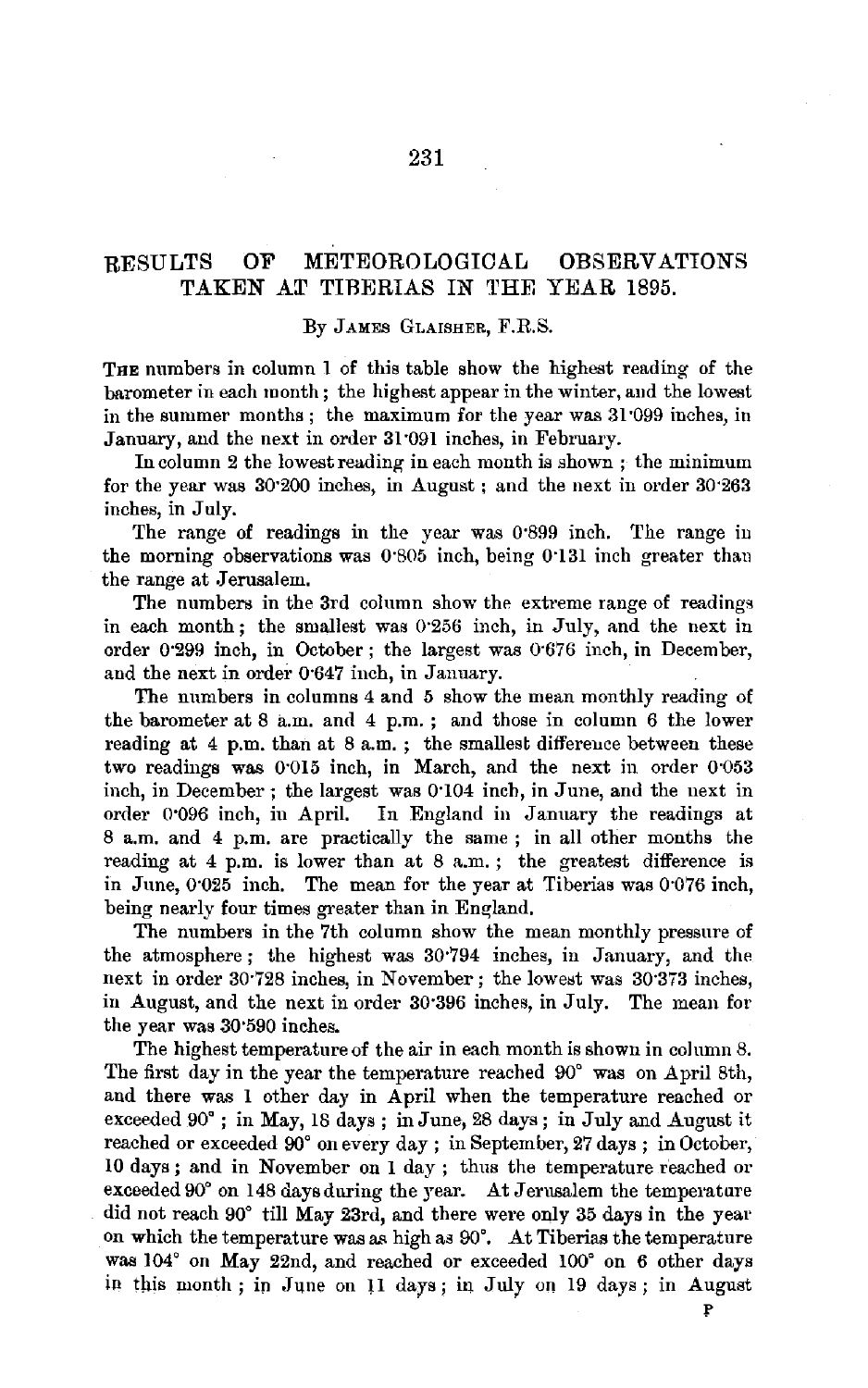## RESULTS OF METEOROLOGICAL OBSERVATIONS TAKEN AT TIBERIAS IN THE YEAR 1895.

#### By JAMES GLAISHER, F.R.S.

THE numbers in column 1 of this table show the highest reading of the barometer in each month; the highest appear in the winter, aud the lowest in the summer months; the maximum for the year was 31 099 inches, in January, and the next in order 31 ·091 inches, in February.

In column 2 the lowest reading in each month is shown; the minimum for the year was 30·200 inches, in August ; and the next in order 30·263 inches, in July.

The range of readings in the year was 0·899 inch. The range iu the morning observations was 0·805 inch, being 0'131 inch greater than the range at Jerusalem.

The numbers in the 3rd column show the extreme range of readings in each month; the smallest was 0·256 inch, in July, and the next in order 0.299 inch, in October; the largest was 0.676 inch, in December, and the next in order 0·647 inch, in January.

The numbers in columns 4 and 5 show the mean monthly reading of the barometer at 8 a.m. and 4 p.m. ; and those in column 6 the lower reading at 4 p.m. than at 8 a.m. ; the smallest differeuce between these two readings was 0·015 inch, in March, and the next in order 0·053 inch, in December; the largest was 0•104 inch, in June, and the next in order 0'096 inch, in April. In England in January the readings at 8 a.m. and 4 p.m. are practically the same ; in all other months the reading at 4 p.m. is lower than at 8 a.m. ; the greatest difference is in June, 0'025 inch. The mean for the year at Tiberias was 0·076 inch, being nearly four times greater than in England.

The numbers in the 7th column show the mean monthly pressure of the atmosphere ; the highest was 30·794 inches, in January, and the next in order 30.728 inches, in November; the lowest was 30.373 inches, in August, and the next in order 30·396 inches, in July. The mean for the year was 30"590 inches.

The highest temperature of the air in each month is shown in column 8. The first day in the year the temperature reached 90° was on April 8th, and there was 1 other day in April when the temperature reached or exceeded 90°; in May, 18 days ; in June, 28 days; in July and August it reached or exceeded 90• on every day ; in September, 27 days ; in October, 10 days; and in November on 1 day; thus the temperature reached or exceeded 90° on 148 days during the year. At Jerusalem the temperature did not reach 90° till May 23rd, and there were only 35 days in the year on which the temperature was as high as  $90^\circ$ . At Tiberias the temperature was 104° on May 22nd, and reached or exceeded 100° on 6 other days in this month; in June on 11 days; in July on 19 days; in August

 $\mathbf{P}$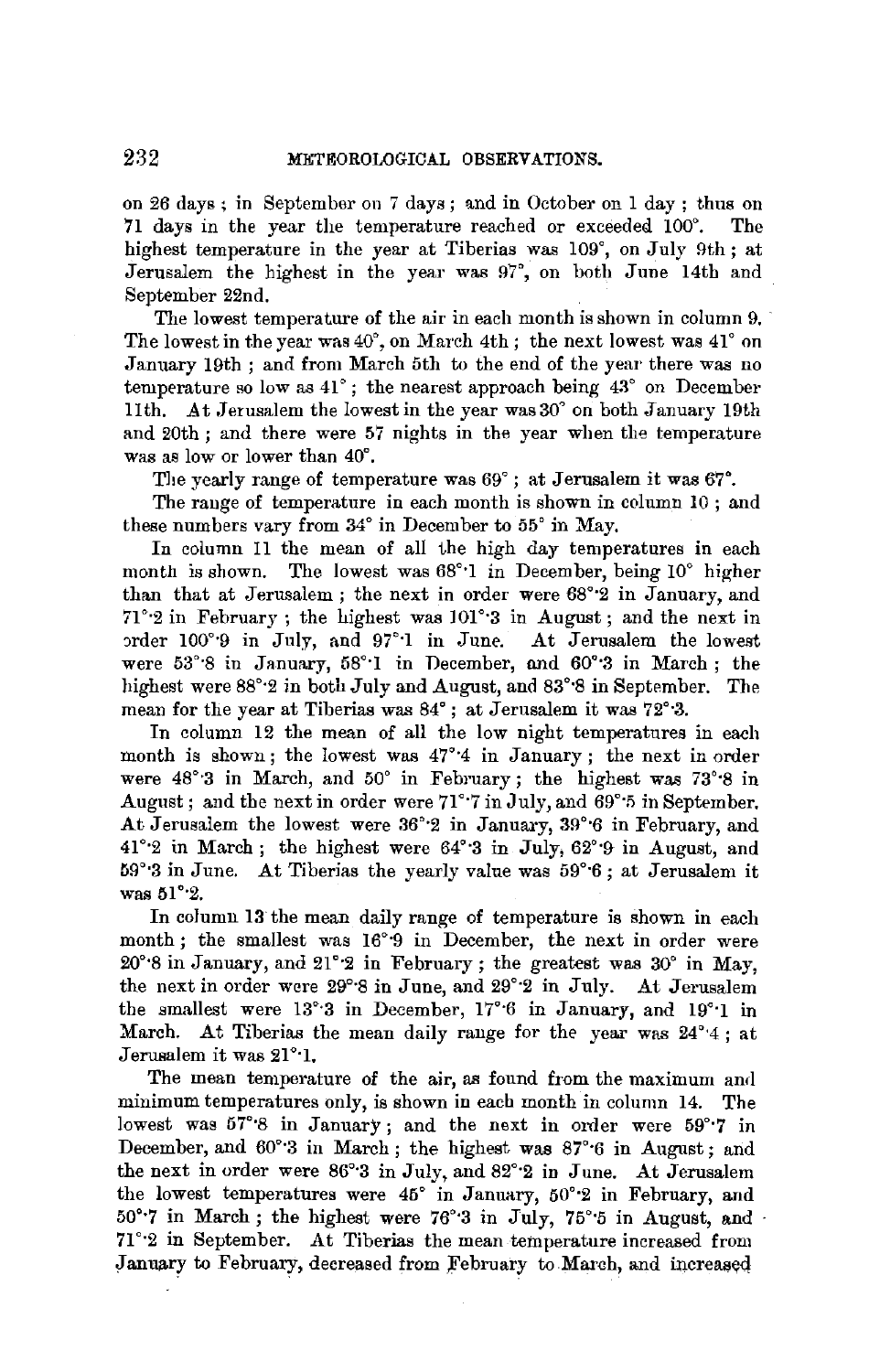on  $26$  days; in September on 7 days; and in October on 1 day; thus on 71 days in the year the temperature reached or exceeded 100°. The highest temperature in the year at Tiberias was 109°, on July 9th; at Jerusalem the highest in the year was 97°, on both June 14th and September 22nd.

The lowest temperature of the air in each month is shown in column 9. The lowest in the year was  $40^{\circ}$ , on March 4th; the next lowest was  $41^{\circ}$  on January 19th ; and from March 5th to the end of the year there was no temperature so low as  $41^\circ$ ; the nearest approach being  $43^\circ$  on December 11th. At Jerusalem the lowest in the year was 30° on both January 19th and 20th; and there were 57 nights in the year when the temperature was as low or lower than 40°.

The yearly range of temperature was 69° ; at Jerusalem it was 67°.

The range of temperature in each month is shown in column 10 ; and these numbers vary from 34° in December to 55° in May.

In column 11 the mean of all the high day temperatures in each month is shown. The lowest was 68°·1 in December, being 10° higher than that at Jerusalem; the next in order were 68°·2 in January, and 71°·2 in February; the highest was 101°·3 in August; and the next in order 100°<sup>9</sup> in July, and 97°<sup>1</sup> in June. At Jerusalem the lowest were 53°·8 in January, 58°·1 in December, nnd 60°·3 in March; the highest were 88°·2 in both July and August, and 83°·8 in September. The mean for the year at Tiberias was 84°; at Jerusalem it was 72°·3.

In column 12 the mean of all the low night temperatures in each month is shown; the lowest was  $47^{\circ}4$  in January; the next in order were 48°·3 in March, and 50° in February ; the highest was 73'·8 in August; and the next in order were  $71^{\circ}$  7 in July, and 69° 5 in September. At Jerusalem the lowest were 36°·2 in January, 39°·6 in February, and 41°·2 in March; the highest were 64°·3 in July, 62°•9 in August, and 1J9°·3 in June. At Tiberias the yearly value was 59°·6; at Jerusalem it was 51°·2.

In column 13 the mean daily range of temperature is shown in each month; the smallest was 16°9 in December, the next in order were 20°·8 in January, and 21°·2 in February; the greatest was 30° in May, the next in order were 29°·8 in June, and 29°·2 in July. At Jerusalem the smallest were 13°·3 in December, 17°·6 in January, and 19°·1 in March. At Tiberias the mean daily rauge for the year was 24°•4; at Jerusalem it was 21°·1.

The mean temperature of the air, as found from the maximum and minimum temperatures only, is shown in each month in column 14. The lowest was 57°8 in January; and the next in order were 59°7 in December, and 60°·3 in March; the highest was 87°·6 in August; and the next in order were 86°•3 in July, and 82°·2 in June. At Jerusalem the lowest temperatures were 45° in January, 50°·2 in February, and 50° $\cdot$ 7 in March; the highest were 76° $\cdot$ 3 in July, 75° $\cdot$ 5 in August, and 71°·2 in September. At Tiberias the mean temperature increased from January to February, decreased from February to March, and increased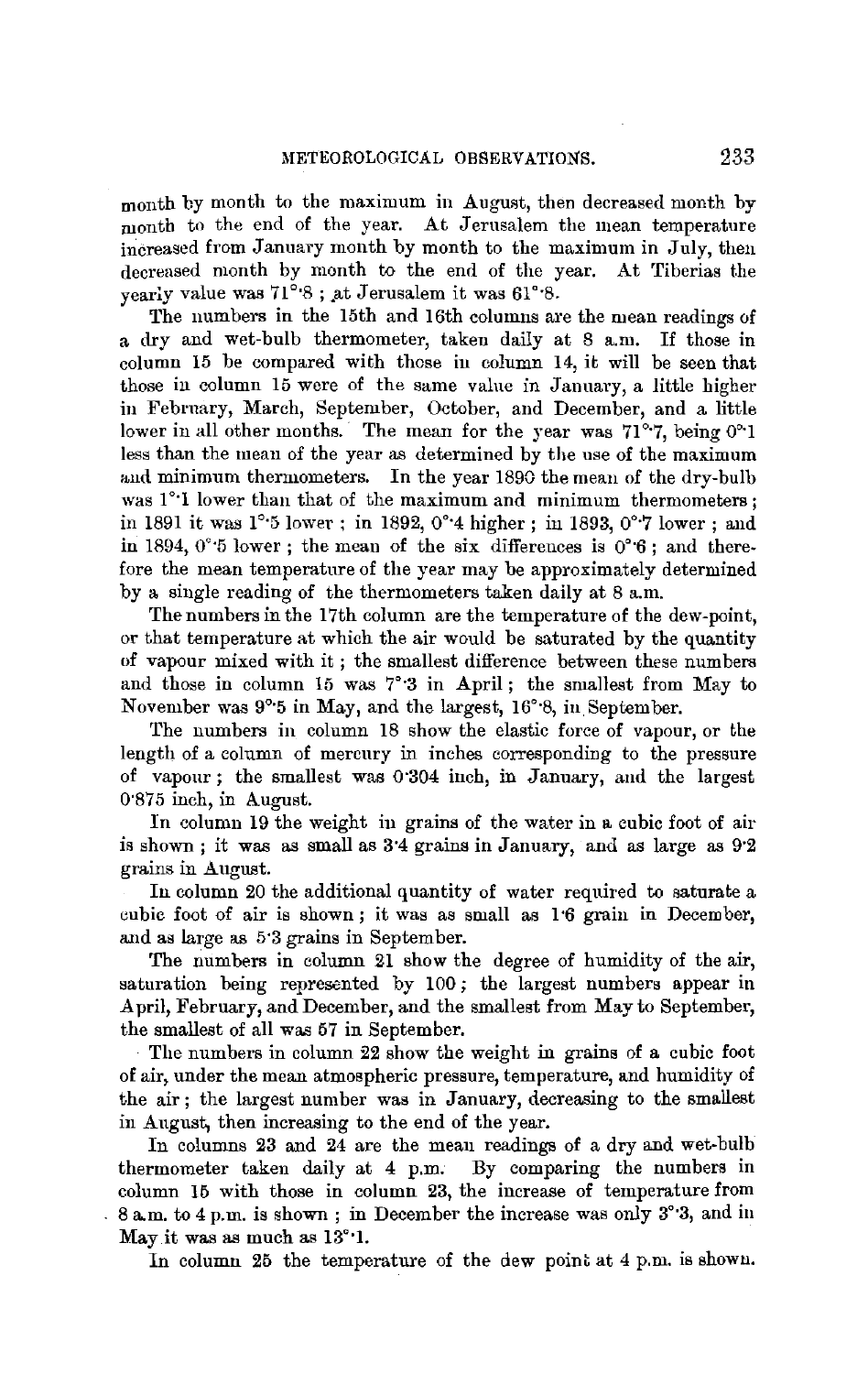month by month to the maximum in August, then decreased month by month to the end of the year. At Jerusalem the mean temperature increased from January month by month to the maximum in July, then decreased month by month to the end of the year. At Tiberias the vearly value was 71°8; at Jerusalem it was 61°8.

The numbers in the 15th and 16th columns are the mean readings of a dry and wet-bulb thermometer, taken daily at 8 a.m. If those in column 15 be compared with those in column 14, it will be seen that those in column 15 were of the same value in January, a little higher in February, March, September, October, and December, and a little lower in all other months. The mean for the year was 71°7, being 0°1 less than the mean of the year as determined by the use of the maximum and minimum thermometers. In the year 1890 the mean of the dry-bulb was 1°<sup>·</sup>1 lower than that of the maximum and minimum thermometers; in 1891 it was 1°·5 lower; in 1892, 0•·4 higher; in 1893, 0°·7 lower; and in 1894,  $0^{\circ}$  5 lower; the mean of the six differences is  $0^{\circ}$  6; and therefore the mean temperature of the year may be approximately determined by a single reading of the thermometers taken daily at 8 a.m.

The numbers in the 17th column are the temperature of the dew-point, or that temperature at which the air would be saturated by the quantity of vapour mixed with it; the smallest difference between these numbers and those in column 15 was 7°·3 in April ; the smallest from May to November was 9°'5 in May, and the largest, 16°·8, in.September.

The numbers in column 18 show the elastic force of vapour, or the length of a column of mercury in inches corresponding to the pressure of vapour; the smallest was 0'304 inch, in January, and the largest 0.875 inch, in August.

In column 19 the weight in grains of the water in a cubic foot of air is shown; it was as small as 3"4 grains in January, and as large as 9·2 grains in August.

In column 20 the additional quantity of water required to saturate a cubic foot of air is shown; it was as small as 1.6 grain in December, and as large as 5•3 grains in September.

The numbers in column 21 show the degree of humidity of the air, saturation being represented by 100; the largest numbers appear in April, February, and December, and the smallest from May to September, the smallest of all was 57 in September.

The numbers in column 22 show the weight in grains of a cubic foot of air, under the mean atmospheric pressure, temperature, and humidity of the air; the largest number was in January, decreasing to the smallest in August, then increasing to the end of the year.

In columns 23 and 24 are the mean readings of a dry and wet-bulb thermometer taken daily at 4 p.m. By comparing the numbers in column 16 with those in column 23, the increase of temperature from  $8a$  m. to 4 p.m. is shown; in December the increase was only  $3^{\circ}3$ , and in May it was as much as 13°·1.

In column 25 the temperature of the dew point at 4 p.m. is showu.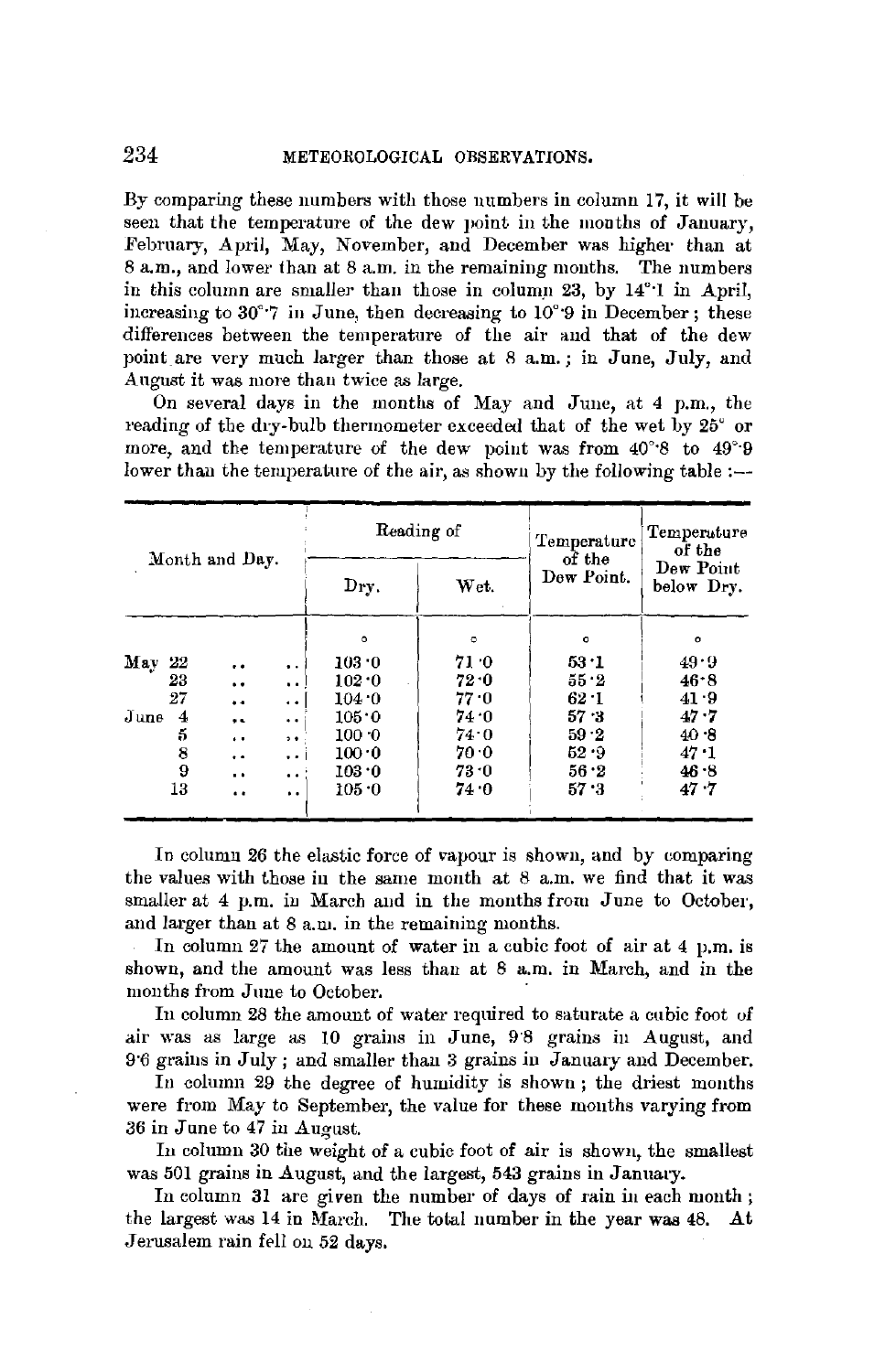By comparing these numbers with those numbers in column 17, it will be seen that the temperature of the dew point in the months of January. February, April, May, November, and December was higher than at 8 a.m., and lower than at 8 a.m. in the remaining months. The numbers in this column are smaller than those in column 23, by 14°.1 in April, increasing to  $30^{\circ}$ .7 in June, then decreasing to  $10^{\circ}$ .9 in December: these differences between the temperature of the air and that of the dew point are very much larger than those at 8 a.m.; in June, July, and August it was more than twice as large.

On several days in the months of May and June, at 4 p.m., the reading of the dry-bulb thermometer exceeded that of the wet by 25° or more, and the temperature of the dew point was from 40°8 to 49°9 lower than the temperature of the air, as shown by the following table :-

|                                                             |         | Reading of | Temperature          | Temperature<br>of the   |
|-------------------------------------------------------------|---------|------------|----------------------|-------------------------|
| Month and Day.                                              | Dry.    | Wet.       | of the<br>Dew Point. | Dew Point<br>below Drv. |
|                                                             | $\circ$ | $\circ$    | $\circ$              | $\circ$                 |
| May<br>22<br>$\cdot$ $\cdot$<br>$\ddot{\bullet}$ .          | 103.0   | 71.0       | 53.1                 | 49.9                    |
| 23<br>$\ddot{\phantom{0}}$<br>$\ddot{\phantom{1}}$          | 102.0   | 72.0       | 55.2                 | 46.8                    |
| 27<br>$\bullet$<br>$\ddot{\phantom{0}}$                     | 104.0   | 77.0       | $62 - 1$             | 41.9                    |
| June<br>$\overline{4}$<br>$\ddot{\phantom{1}}$<br>$\bullet$ | 105.0   | 74 O       | 57.3                 | $47 \cdot 7$            |
| 5<br>$\rightarrow$<br>$\ddot{\phantom{1}}$                  | 100.0   | 74.0       | 59.2                 | 40.8                    |
| 8<br>$\ddot{\phantom{1}}$<br>$\ddot{\phantom{a}}$           | 100.0   | 70.0       | 52.9                 | 47.1                    |
| 9<br>$\ddot{\phantom{a}}$<br>$\cdot$ .                      | 103.0   | 73.0       | 56.2                 | 46.8                    |
| 13<br>$\ddot{\bullet}$<br>. .                               | 105.0   | 74.0       | 57.3                 | 47.7                    |

In column 26 the elastic force of vapour is shown, and by comparing the values with those in the same month at 8 a.m. we find that it was smaller at 4 p.m. in March and in the months from June to October, and larger than at 8 a.m. in the remaining months.

In column 27 the amount of water in a cubic foot of air at 4 p.m. is shown, and the amount was less than at 8 a.m. in March, and in the months from June to October.

In column 28 the amount of water required to saturate a cubic foot of air was as large as 10 grains in June, 9'8 grains in August, and 9.6 grains in July; and smaller than 3 grains in January and December.

In column 29 the degree of humidity is shown; the driest months were from May to September, the value for these months varying from 36 in June to 47 in August.

In column 30 the weight of a cubic foot of air is shown, the smallest was 501 grains in August, and the largest, 543 grains in January.

In column 31 are given the number of days of rain in each month; the largest was 14 in March. The total number in the year was 48. At Jerusalem rain fell on 52 days.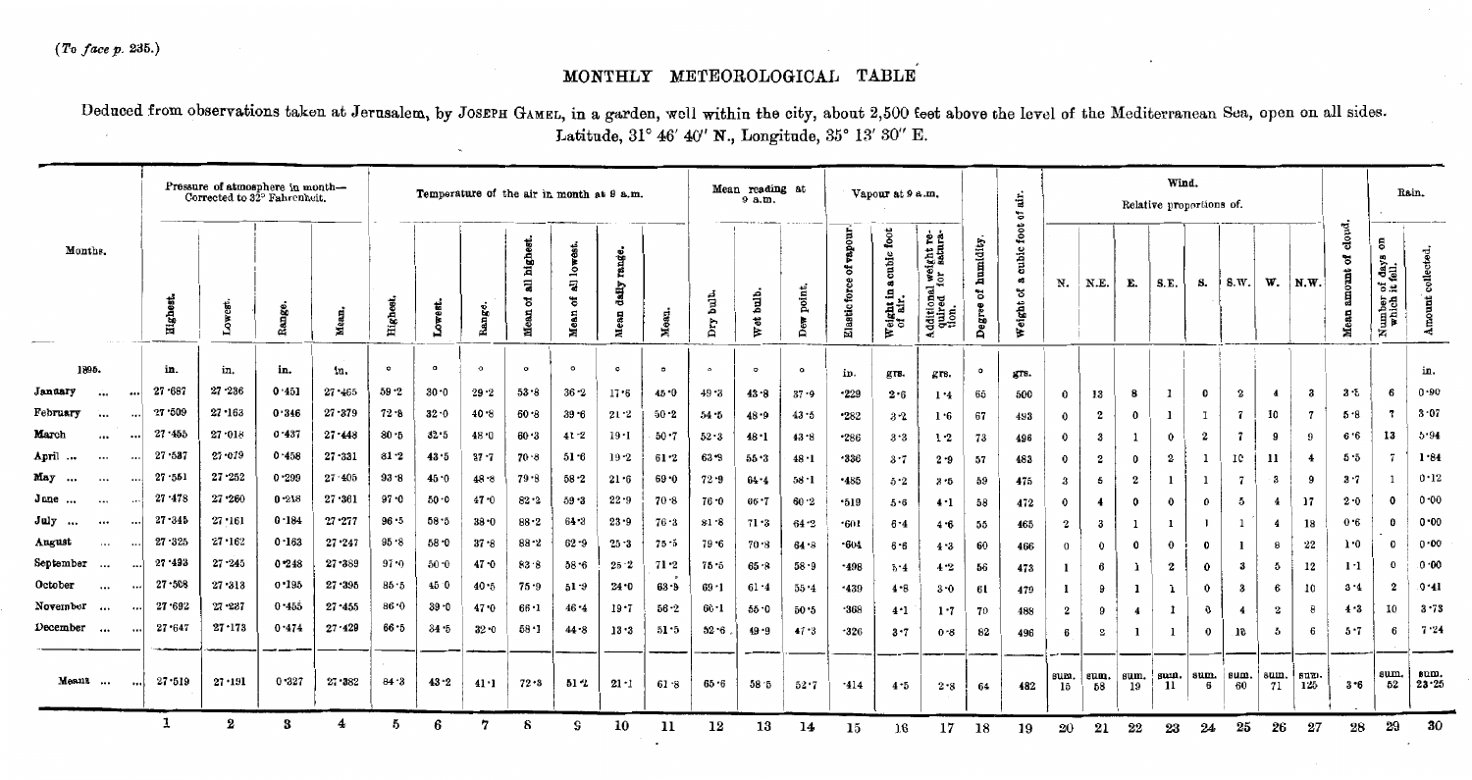*(To face* p. 235.)

# MONTHLY METEOROLOGICAL TABLE

Deduced from observations taken at Jerusalem, by JosEPH GAMEL, in a garden, well within the city, about 2,500 feet above the level of the Mediterranean Sea, open on all sides. Latitude, 31° 46' 40" **N.,** Longitude, 35° 13' 30'' E.

| Pressure of atmosphere in month-<br>Corrected to 32° Fahrenheit. |                      |            |                  |           |            |          |            | Temperature of the air in month at 9 a.m. |                           |                                          |                         |           |             | Mean reading at<br>9a.m. |             |                                   | Vapour at 9 a.m.                                     |                                                           |                          | ÷ir.<br>៵                       |                     |                         |                  | Wind.<br>Relative proportions of. |              |                |                         |                |                         |                                       | Rain.                |
|------------------------------------------------------------------|----------------------|------------|------------------|-----------|------------|----------|------------|-------------------------------------------|---------------------------|------------------------------------------|-------------------------|-----------|-------------|--------------------------|-------------|-----------------------------------|------------------------------------------------------|-----------------------------------------------------------|--------------------------|---------------------------------|---------------------|-------------------------|------------------|-----------------------------------|--------------|----------------|-------------------------|----------------|-------------------------|---------------------------------------|----------------------|
| Months.                                                          |                      | Highe      | Š                | Range     | Mean       | Highes   | west.<br>å | Range.                                    | all highes<br>৳<br>져<br>Е | west.<br>$\mathbf{z}$<br>ą<br>ัธ<br>Mean | range.<br>dadly<br>Mean | Mean.     | jшb.<br>Dry | j<br>E<br>đ,<br>E        | point,<br>Å | of vapour<br><b>Elastic</b> force | cubic foot<br>$\mathbf{a}$<br>Weight in a<br>of air. | Additional weight re-<br>quired for satura-<br>tion.<br>∢ | humidity.<br>៵<br>Degree | cubic foot<br>a3<br>៵<br>Weight | N.                  | N.E.                    | E.               | S.E.                              | 8.           | S.W.           | W.                      | N.W.           | cloud.<br>Î<br>٠<br>Mea | 5<br>Number of days<br>which it fell. | collected.<br>Amount |
| 1895.                                                            |                      | in.        | in.              | in.       | in.        | $\circ$  | $\Omega$   | $\circ$                                   | $\circ$                   | $\bullet$                                | $\circ$                 | $\bullet$ | $\circ$     | $\circ$                  | $\circ$     | in.                               | grs.                                                 | grs.                                                      | $\circ$                  | gra.                            |                     |                         |                  |                                   |              |                |                         |                |                         |                                       | in.                  |
| January<br>$\dddotsc$                                            |                      | 27.687     | $27 - 236$       | 0.451     | 27.465     | 59.2     | $30 - 0$   | $29 - 2$                                  | 53.8                      | $36 - 2$                                 | 17.6                    | 45.0      | 49.3        | $43 - 8$                 | $37 - 9$    | $-229$                            | 2.6                                                  | 1.4                                                       | 65                       | 500                             | $\mathbf 0$         | 13                      | 8                | $\mathbf{1}$                      | $\mathbf{0}$ | 2              | $\overline{4}$          | - 3            | 3.5                     | -6                                    | $0 - 90$             |
| February<br>$\cdots$<br>$\cdots$                                 |                      | 27.509     | $27 - 163$       | 0.346     | $27 - 379$ | $72 - 8$ | $32 - 0$   | $40 - 8$                                  | $60 - 8$                  | $39 - 6$                                 | 21.2                    | $50 - 2$  | 54.5        | $48 - 9$                 | $43 - 5$    | $-282$                            | $3-2$                                                | 1.6                                                       | 67                       | 493                             | $\ddot{\mathbf{0}}$ | $\boldsymbol{2}$        | $\mathbf 0$      | 1                                 | I            | 7              | 10                      | $\overline{7}$ | 5.8                     |                                       | $3 - 07$             |
| March<br>$\cdots$<br>$\cdots$                                    |                      | 27.455     | 27.018           | 0.437     | $27 - 443$ | $80 - 5$ | $32 - 5$   | 48 0                                      | 60.3                      | $41 - 2$                                 | 19.1                    | 50.7      | 52.3        | 48.1                     | $43 - 8$    | $-286$                            | 3.3                                                  | 1.2                                                       | 73                       | 496                             | $\bf{0}$            | 3                       | -1               | $\bf{0}$                          | $\mathbf 2$  | $\overline{7}$ | 9                       | 9              | 6.6                     | 13                                    | 5.94                 |
| April<br>$\cdots$<br>                                            |                      | $27 - 587$ | $27 - 079$       | 0.458     | $27 - 331$ | $81 - 2$ | 43.5       | $37 - 7$                                  | 70.8                      | $51-6$                                   | $19 - 2$                | 61.2      | $63 - 9$    | 55.3                     | $48 - 1$    | $-336$                            | $3 - 7$                                              | $2 - 9$                                                   | 57                       | 483                             | $\mathbf 0$         | $\mathbf 2$             | $\mathbf 0$      | 2                                 | 1            | 10             | 11                      | $\overline{4}$ | $5 - 5$                 |                                       | 1.84                 |
| May<br><br>$\cdots$                                              |                      | $27 - 551$ | $27 - 252$       | 0.299     | 27.405     | $93 - 8$ | 45.0       | 48.8                                      | $79 - 8$                  | 58.2                                     | $21 - 6$                | 69.0      | $72 - 9$    | 64.4                     | $58 - 1$    | $-485$                            | $5-2$                                                | $3 - 5$                                                   | 59                       | 475                             | $\boldsymbol{3}$    | 5                       | $\mathbf{2}$     |                                   | 1            | -7             | -3                      | -9             | $3 - 7$                 |                                       | 0.12                 |
| June<br>$\cdots$                                                 |                      | $27 - 478$ | $27 - 260$       | $0 - 218$ | $27 - 361$ | $97 - 0$ | $50 - 0$   | $47 - 0$                                  | $82 - 2$                  | 59.3                                     | 22.9                    | 70.8      | 76.0        | 66.7                     | 60.2        | .519                              | 5.6                                                  | 4.1                                                       | 58                       | 472                             | $\mathbf 0$         | $\overline{\mathbf{4}}$ | $\mathbf 0$      | $\bf{0}$                          | $\bf{0}$     | 5              | $\overline{\mathbf{4}}$ | 17             | 2.0                     | O                                     | 0.00                 |
| July<br><br>$\cdots$                                             |                      | $27 - 345$ | 27.161           | 0.184     | $27 - 277$ | $96 - 5$ | $58 - 5$   | $38 - 0$                                  | $88-2$                    | $64 - 3$                                 | $23 - 9$                | $76 - 3$  | 81.8        | 71 • 3                   | $64 - 2$    | .601                              | $6 - 4$                                              | 4.6                                                       | 55                       | 465                             | $\mathbf{2}$        | $\boldsymbol{3}$        | -1               | 1                                 | $\mathbf{I}$ | -1             | 4                       | 18             | 0.6                     | o                                     | 0.00                 |
| August<br>$\cdots$                                               | $\cdots$             | $27 - 325$ | 27.162           | 0.163     | $27 - 247$ | $95 - 8$ | 58.0       | $37 - 8$                                  | $88 - 2$                  | $62 - 9$                                 | $25 - 3$                | $75 - 5$  | 79.6        | 70.8                     | 64.8        | $-604$                            | $6 - 6$                                              | $4-3$                                                     | 60                       | 466                             | $\theta$            | $\mathbf 0$             | $\mathbf 0$      | $\theta$                          | $\bf{0}$     | 1              | 8                       | $\bf{22}$      | 1.0                     |                                       | 0.00                 |
| September<br>$\cdots$                                            | $\ddot{\phantom{a}}$ | $27 - 493$ | $27 - 245$       | $0*248$   | $27 - 389$ | $97 - 0$ | $50-0$     | $47 - 0$                                  | $83 - 8$                  | $58 - 6$                                 | 25.2                    | $71 - 2$  | 75.5        | $65 - 8$                 | 58.9        | $-498$                            | 5.4                                                  | 4.2                                                       | 56                       | 473                             |                     | $6\phantom{1}$          |                  | $\boldsymbol{2}$                  | $\bf{0}$     | -3             | 5                       | 12             | $1 - 1$                 | $\Omega$                              | $.0 - 00$            |
| October<br>$\cdots$                                              | $\ddot{\phantom{0}}$ | $27 - 508$ | $27 - 313$       | 0.195     | $27 - 395$ | 85.5     | 45.0       | 40.5                                      | $75 - 9$                  | 51.9                                     | 24.0                    | 63.9      | 69 • 1      | $61 - 4$                 | 55.4        | $-439$                            | 4 - 8                                                | $3 - 0$                                                   | 6 L                      | 479                             |                     | 9                       | -1               |                                   | $\bf{0}$     | 3              | 6                       | 10             | $3 - 4$                 | $\boldsymbol{2}$                      | $.0*1$               |
| November<br>$\cdots$                                             |                      | $27 - 692$ | $27 - 237$       | 0.455     | $27 - 455$ | 86.0     | $39 - 0$   | $47 - 0$                                  | $66 - 1$                  | 46.4                                     | $19 - 7$                | $56 - 2$  | $60 - 1$    | $55 - 0$                 | 50.5        | $-368$                            | 4.1                                                  | 1.7                                                       | 70                       | 483                             | $\mathbf{2}$        | 9                       | $\boldsymbol{4}$ | -1                                | $\mathbf 0$  | 4              | $\boldsymbol{2}$        | 8              | 4.3                     | 10                                    | $3 - 73$             |
| December<br>$\cdots$                                             | $\cdots$             | 27.647     | $27 - 173$       | 0.474     | $27 - 429$ | $66 - 5$ | 34.5       | $32 - 0$                                  | $58 - 1$                  | 44.8                                     | 13.3                    | 51.5      | $52 - 6$    | $49 - 9$                 | 47.3        | $-326$                            | 3.7                                                  | $0 - 8$                                                   | 82                       | 496                             | 6                   | $\overline{2}$          | -1               | $\mathbf{1}$                      | $\mathbf 0$  | 10             | -5                      | 6              | $5 - 7$                 | В.                                    | 7.24                 |
| Means                                                            |                      | $27 - 519$ | 27.191           | 0.327     | $27 - 382$ | 84.3     | $43 - 2$   | 41.1                                      | $72 - 3$                  | 51 2                                     | $21 - 1$                | 61.8      | 65.6        | $58 - 5$                 | 52.7        | .414                              | $4 - 5$                                              | $2 - 8$                                                   | 64                       | 482                             | sum.<br>15          | sum.<br>58              | sum.<br>19       | sum.<br>11                        | sum.<br>-6   | sum.<br>60     | sum.<br>71              | sum.<br>125    | $3 - 6$                 | sum.<br>52                            | sum.<br>$23 - 25$    |
|                                                                  |                      | 1          | $\boldsymbol{2}$ | 3         | 4          | 5        | 6          | 7                                         | 8                         | G                                        | 10                      | 11        | 12          | 13                       | 14          | 15                                | 16                                                   | 17                                                        | 18                       | 19                              | 20                  | 21                      | 22               | 23                                | 24           | 25             | 26                      | 27             | 28                      | 29                                    | 30                   |